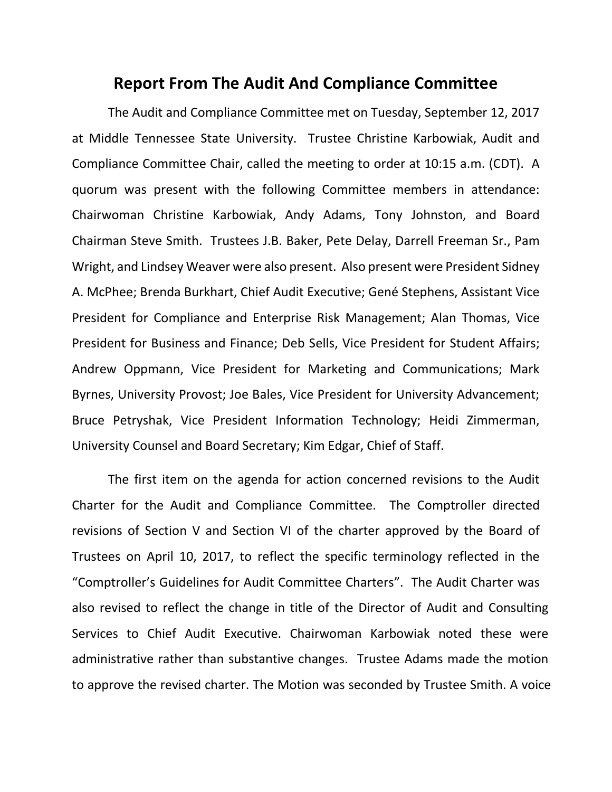## **Report From The Audit And Compliance Committee**

The Audit and Compliance Committee met on Tuesday, September 12, 2017 at Middle Tennessee State University. Trustee Christine Karbowiak, Audit and Compliance Committee Chair, called the meeting to order at 10:15 a.m. (CDT). A quorum was present with the following Committee members in attendance: Chairwoman Christine Karbowiak, Andy Adams, Tony Johnston, and Board Chairman Steve Smith. Trustees J.B. Baker, Pete Delay, Darrell Freeman Sr., Pam Wright, and Lindsey Weaver were also present. Also present were President Sidney A. McPhee; Brenda Burkhart, Chief Audit Executive; Gené Stephens, Assistant Vice President for Compliance and Enterprise Risk Management; Alan Thomas, Vice President for Business and Finance; Deb Sells, Vice President for Student Affairs; Andrew Oppmann, Vice President for Marketing and Communications; Mark Byrnes, University Provost; Joe Bales, Vice President for University Advancement; Bruce Petryshak, Vice President Information Technology; Heidi Zimmerman, University Counsel and Board Secretary; Kim Edgar, Chief of Staff.

The first item on the agenda for action concerned revisions to the Audit Charter for the Audit and Compliance Committee. The Comptroller directed revisions of Section V and Section VI of the charter approved by the Board of Trustees on April 10, 2017, to reflect the specific terminology reflected in the "Comptroller's Guidelines for Audit Committee Charters". The Audit Charter was also revised to reflect the change in title of the Director of Audit and Consulting Services to Chief Audit Executive. Chairwoman Karbowiak noted these were administrative rather than substantive changes. Trustee Adams made the motion to approve the revised charter. The Motion was seconded by Trustee Smith. A voice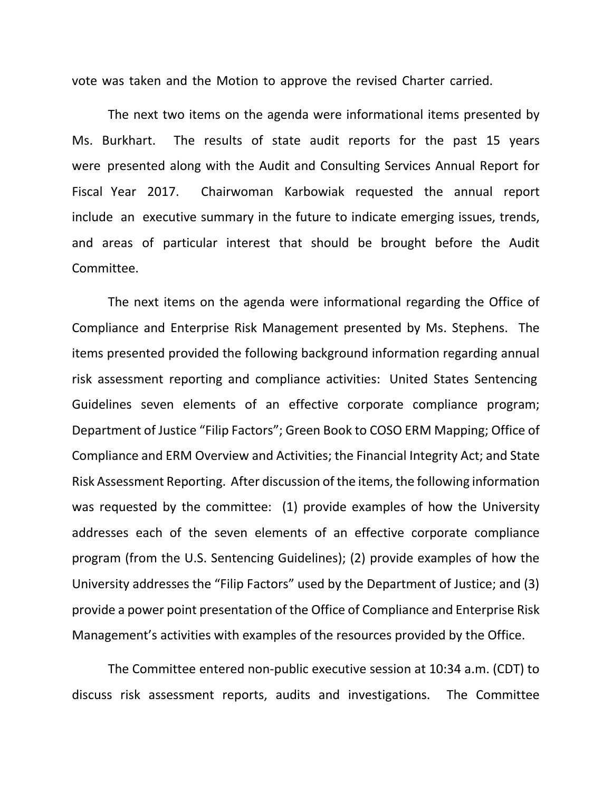vote was taken and the Motion to approve the revised Charter carried.

The next two items on the agenda were informational items presented by Ms. Burkhart. The results of state audit reports for the past 15 years were presented along with the Audit and Consulting Services Annual Report for Fiscal Year 2017. Chairwoman Karbowiak requested the annual report include an executive summary in the future to indicate emerging issues, trends, and areas of particular interest that should be brought before the Audit Committee.

The next items on the agenda were informational regarding the Office of Compliance and Enterprise Risk Management presented by Ms. Stephens. The items presented provided the following background information regarding annual risk assessment reporting and compliance activities: United States Sentencing Guidelines seven elements of an effective corporate compliance program; Department of Justice "Filip Factors"; Green Book to COSO ERM Mapping; Office of Compliance and ERM Overview and Activities; the Financial Integrity Act; and State Risk Assessment Reporting. After discussion of the items, the following information was requested by the committee: (1) provide examples of how the University addresses each of the seven elements of an effective corporate compliance program (from the U.S. Sentencing Guidelines); (2) provide examples of how the University addresses the "Filip Factors" used by the Department of Justice; and (3) provide a power point presentation of the Office of Compliance and Enterprise Risk Management's activities with examples of the resources provided by the Office.

The Committee entered non-public executive session at 10:34 a.m. (CDT) to discuss risk assessment reports, audits and investigations. The Committee